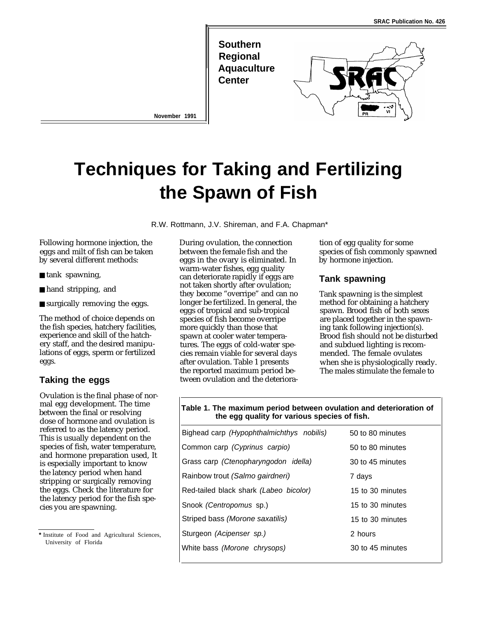

# **Techniques for Taking and Fertilizing the Spawn of Fish**

**November 1991**

R.W. Rottmann, J.V. Shireman, and F.A. Chapman\*

Following hormone injection, the eggs and milt of fish can be taken by several different methods:

- tank spawning,
- hand stripping, and
- surgically removing the eggs.

The method of choice depends on the fish species, hatchery facilities, experience and skill of the hatchery staff, and the desired manipulations of eggs, sperm or fertilized eggs.

## **Taking the eggs**

Ovulation is the final phase of normal egg development. The time between the final or resolving dose of hormone and ovulation is referred to as the latency period. This is usually dependent on the species of fish, water temperature, and hormone preparation used, It is especially important to know the latency period when hand stripping or surgically removing the eggs. Check the literature for the latency period for the fish species you are spawning.

During ovulation, the connection between the female fish and the eggs in the ovary is eliminated. In warm-water fishes, egg quality can deteriorate rapidly if eggs are not taken shortly after ovulation; they become "overripe" and can no longer be fertilized. In general, the eggs of tropical and sub-tropical species of fish become overripe more quickly than those that spawn at cooler water temperatures. The eggs of cold-water species remain viable for several days after ovulation. Table 1 presents the reported maximum period between ovulation and the deterioration of egg quality for some species of fish commonly spawned by hormone injection.

### **Tank spawning**

Tank spawning is the simplest method for obtaining a hatchery spawn. Brood fish of both sexes are placed together in the spawning tank following injection(s). Brood fish should not be disturbed and subdued lighting is recommended. The female ovulates when she is physiologically ready. The males stimulate the female to

#### **Table 1. The maximum period between ovulation and deterioration of the egg quality for various species of fish.**

| Bighead carp (Hypophthalmichthys nobilis) | 50 to 80 minutes |
|-------------------------------------------|------------------|
| Common carp (Cyprinus carpio)             | 50 to 80 minutes |
| Grass carp (Ctenopharyngodon idella)      | 30 to 45 minutes |
| Rainbow trout (Salmo gairdneri)           | 7 days           |
| Red-tailed black shark (Labeo bicolor)    | 15 to 30 minutes |
| Snook (Centropomus sp.)                   | 15 to 30 minutes |
| Striped bass (Morone saxatilis)           | 15 to 30 minutes |
| Sturgeon (Acipenser sp.)                  | 2 hours          |
| White bass (Morone chrysops)              | 30 to 45 minutes |
|                                           |                  |

**<sup>\*</sup>** Institute of Food and Agricultural Sciences, University of Florida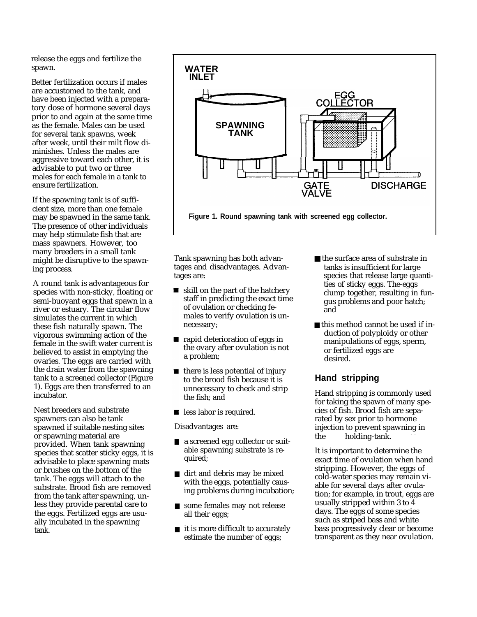release the eggs and fertilize the spawn.

Better fertilization occurs if males are accustomed to the tank, and have been injected with a preparatory dose of hormone several days prior to and again at the same time as the female. Males can be used for several tank spawns, week after week, until their milt flow diminishes. Unless the males are aggressive toward each other, it is advisable to put two or three males for each female in a tank to ensure fertilization.

If the spawning tank is of sufficient size, more than one female may be spawned in the same tank. The presence of other individuals may help stimulate fish that are mass spawners. However, too many breeders in a small tank might be disruptive to the spawning process.

A round tank is advantageous for species with non-sticky, floating or semi-buoyant eggs that spawn in a river or estuary. The circular flow simulates the current in which these fish naturally spawn. The vigorous swimming action of the female in the swift water current is believed to assist in emptying the ovaries. The eggs are carried with the drain water from the spawning tank to a screened collector (Figure 1). Eggs are then transferred to an incubator.

Nest breeders and substrate spawners can also be tank spawned if suitable nesting sites or spawning material are provided. When tank spawning species that scatter sticky eggs, it is advisable to place spawning mats or brushes on the bottom of the tank. The eggs will attach to the substrate. Brood fish are removed from the tank after spawning, unless they provide parental care to the eggs. Fertilized eggs are usually incubated in the spawning tank.



tages and disadvantages. Advantages are:

- skill on the part of the hatchery staff in predicting the exact time of ovulation or checking females to verify ovulation is unnecessary;
- **n** rapid deterioration of eggs in the ovary after ovulation is not a problem;
- $\blacksquare$  there is less potential of injury to the brood fish because it is unnecessary to check and strip the fish; and
- **less labor is required.**

- a screened egg collector or suitable spawning substrate is required;
- dirt and debris may be mixed with the eggs, potentially causing problems during incubation;
- some females may not release all their eggs;
- it is more difficult to accurately estimate the number of eggs;
- Tank spawning has both advan-<br>tages and disadvantages. Advan-<br>tanks is insufficient for large species that release large quantities of sticky eggs. The-eggs clump together, resulting in fungus problems and poor hatch; and
	- this method cannot be used if induction of polyploidy or other manipulations of eggs, sperm, or fertilized eggs are desired.

# **Hand stripping**

Hand stripping is commonly used for taking the spawn of many species of fish. Brood fish are separated by sex prior to hormone Disadvantages are: injection to prevent spawning in the holding-tank.

> It is important to determine the exact time of ovulation when hand stripping. However, the eggs of cold-water species may remain viable for several days after ovulation; for example, in trout, eggs are usually stripped within 3 to 4 days. The eggs of some species such as striped bass and white bass progressively clear or become transparent as they near ovulation.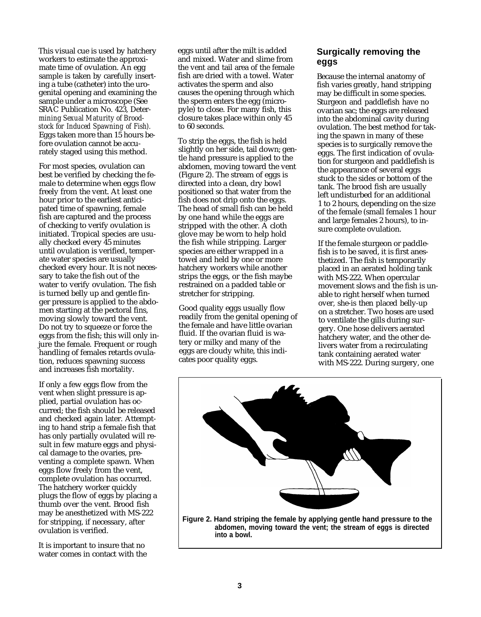This visual cue is used by hatchery workers to estimate the approximate time of ovulation. An egg sample is taken by carefully inserting a tube (catheter) into the urogenital opening and examining the sample under a microscope (See SRAC Publication No. 423, Deter*mining Sexual Maturity of Broodstock for Induced Spawning of Fish).* Eggs taken more than 15 hours before ovulation cannot be accurately staged using this method.

For most species, ovulation can best be verified by checking the female to determine when eggs flow freely from the vent. At least one hour prior to the earliest anticipated time of spawning, female fish are captured and the process of checking to verify ovulation is initiated. Tropical species are usually checked every 45 minutes until ovulation is verified, temperate water species are usually checked every hour. It is not necessary to take the fish out of the water to verify ovulation. The fish is turned belly up and gentle finger pressure is applied to the abdomen starting at the pectoral fins, moving slowly toward the vent. Do not try to squeeze or force the eggs from the fish; this will only injure the female. Frequent or rough handling of females retards ovulation, reduces spawning success and increases fish mortality.

If only a few eggs flow from the vent when slight pressure is applied, partial ovulation has occurred; the fish should be released and checked again later. Attempting to hand strip a female fish that has only partially ovulated will result in few mature eggs and physical damage to the ovaries, preventing a complete spawn. When eggs flow freely from the vent, complete ovulation has occurred. The hatchery worker quickly plugs the flow of eggs by placing a thumb over the vent. Brood fish may be anesthetized with MS-222 for stripping, if necessary, after ovulation is verified.

It is important to insure that no water comes in contact with the eggs until after the milt is added and mixed. Water and slime from the vent and tail area of the female fish are dried with a towel. Water activates the sperm and also causes the opening through which the sperm enters the egg (micropyle) to close. For many fish, this closure takes place within only 45 to 60 seconds.

To strip the eggs, the fish is held slightly on her side, tail down; gentle hand pressure is applied to the abdomen, moving toward the vent (Figure 2). The stream of eggs is directed into a clean, dry bowl positioned so that water from the fish does not drip onto the eggs. The head of small fish can be held by one hand while the eggs are stripped with the other. A cloth glove may be worn to help hold the fish while stripping. Larger species are either wrapped in a towel and held by one or more hatchery workers while another strips the eggs, or the fish maybe restrained on a padded table or stretcher for stripping.

readily from the genital opening of the stretcher. Two hoses are used to ventilate the gills during sur-<br>the female and have little ovarian the gills during sur-<br>gery. One hose delivers aerated fluid. If the ovarian fluid is wa-<br>tery or milky and many of the latchery water, and the other de-

# **Surgically removing the eggs**

Because the internal anatomy of fish varies greatly, hand stripping may be difficult in some species. Sturgeon and paddlefish have no ovarian sac; the eggs are released into the abdominal cavity during ovulation. The best method for taking the spawn in many of these species is to surgically remove the eggs. The first indication of ovulation for sturgeon and paddlefish is the appearance of several eggs stuck to the sides or bottom of the tank. The brood fish are usually left undisturbed for an additional 1 to 2 hours, depending on the size of the female (small females 1 hour and large females 2 hours), to insure complete ovulation.

If the female sturgeon or paddlefish is to be saved, it is first anesthetized. The fish is temporarily placed in an aerated holding tank with MS-222. When opercular movement slows and the fish is unable to right herself when turned<br>over, she-is then placed belly-up Good quality eggs usually flow over, she-is then placed beny-up<br>on a stretcher. Two hoses are used hatchery or milky and many or die-<br>eggs are cloudy white, this indi-<br>cates poor quality eggs. with MS-222. During surgery, one

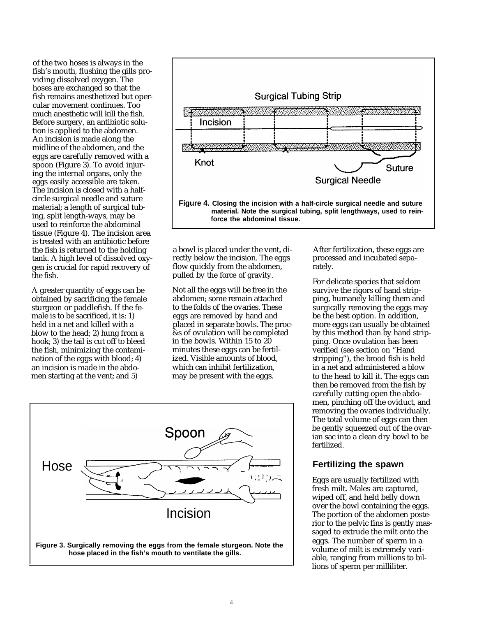of the two hoses is always in the fish's mouth, flushing the gills providing dissolved oxygen. The hoses are exchanged so that the fish remains anesthetized but opercular movement continues. Too much anesthetic will kill the fish. Before surgery, an antibiotic solution is applied to the abdomen. An incision is made along the midline of the abdomen, and the eggs are carefully removed with a spoon (Figure 3). To avoid injuring the internal organs, only the eggs easily accessible are taken. The incision is closed with a halfcircle surgical needle and suture material; a length of surgical tubing, split length-ways, may be used to reinforce the abdominal tissue (Figure 4). The incision area is treated with an antibiotic before the fish is returned to the holding tank. A high level of dissolved oxygen is crucial for rapid recovery of the fish.

A greater quantity of eggs can be obtained by sacrificing the female sturgeon or paddlefish. If the female is to be sacrificed, it is: 1) held in a net and killed with a<br>blow to the head: 2) hung from a hook; 3) the tail is cut off to bleed in the bowls. Within 15 to 20 the fish, minimizing the contami-<br>minutes these eggs can be fertilthe fish, minimizing the contami-<br>
minutes these eggs can be fertil-<br>
nation of the eggs with blood: 4) ized. Visible amounts of blood. nation of the eggs with blood; 4) ized. Visible amounts of blood<br>an incision is made in the abdo-<br>which can inhibit fertilization, an incision is made in the abdo-<br>men starting at the vent; and 5) may be present with the eggs. men starting at the vent; and  $5$ )



a bowl is placed under the vent, directly below the incision. The eggs flow quickly from the abdomen, pulled by the force of gravity.

Not all the eggs will be free in the abdomen; some remain attached to the folds of the ovaries. These eggs are removed by hand and placed in separate bowls. The proc-&s of ovulation will be completed<br>in the bowls. Within 15 to 20



After fertilization, these eggs are processed and incubated separately.

For delicate species that seldom survive the rigors of hand stripping, humanely killing them and surgically removing the eggs may be the best option. In addition, more eggs can usually be obtained by this method than by hand stripping. Once ovulation has been verified (see section on "Hand stripping"), the brood fish is held in a net and administered a blow to the head to kill it. The eggs can then be removed from the fish by carefully cutting open the abdomen, pinching off the oviduct, and removing the ovaries individually. The total volume of eggs can then be gently squeezed out of the ovarian sac into a clean dry bowl to be fertilized.

#### **Fertilizing the spawn**

Eggs are usually fertilized with fresh milt. Males are captured, wiped off, and held belly down over the bowl containing the eggs. The portion of the abdomen posterior to the pelvic fins is gently massaged to extrude the milt onto the eggs. The number of sperm in a volume of milt is extremely variable, ranging from millions to billions of sperm per milliliter.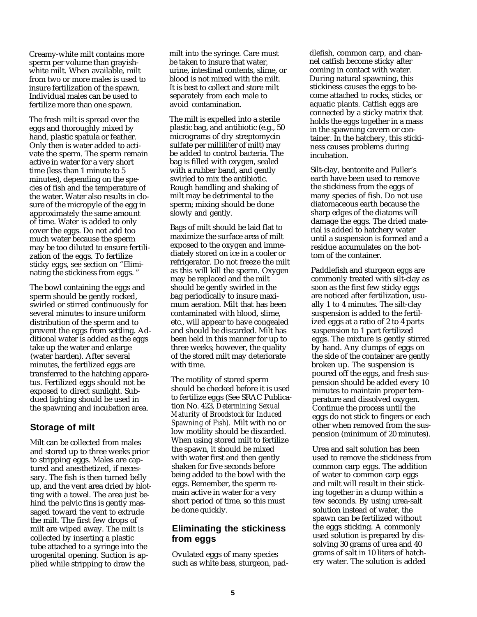Creamy-white milt contains more sperm per volume than grayishwhite milt. When available, milt from two or more males is used to insure fertilization of the spawn. Individual males can be used to fertilize more than one spawn.

The fresh milt is spread over the eggs and thoroughly mixed by hand, plastic spatula or feather. Only then is water added to activate the sperm. The sperm remain active in water for a very short time (less than 1 minute to 5 minutes), depending on the species of fish and the temperature of the water. Water also results in closure of the micropyle of the egg in approximately the same amount of time. Water is added to only cover the eggs. Do not add too much water because the sperm may be too diluted to ensure fertilization of the eggs. To fertilize sticky eggs, see section on "Eliminating the stickiness from eggs. "

The bowl containing the eggs and sperm should be gently rocked, swirled or stirred continuously for several minutes to insure uniform distribution of the sperm and to prevent the eggs from settling. Additional water is added as the eggs take up the water and enlarge (water harden). After several minutes, the fertilized eggs are transferred to the hatching apparatus. Fertilized eggs should not be exposed to direct sunlight. Subdued lighting should be used in the spawning and incubation area.

## **Storage of milt**

Milt can be collected from males and stored up to three weeks prior to stripping eggs. Males are captured and anesthetized, if necessary. The fish is then turned belly up, and the vent area dried by blotting with a towel. The area just behind the pelvic fins is gently massaged toward the vent to extrude the milt. The first few drops of milt are wiped away. The milt is collected by inserting a plastic tube attached to a syringe into the urogenital opening. Suction is applied while stripping to draw the

milt into the syringe. Care must be taken to insure that water, urine, intestinal contents, slime, or blood is not mixed with the milt. It is best to collect and store milt separately from each male to avoid contamination.

The milt is expelled into a sterile plastic bag, and antibiotic (e.g., 50 micrograms of dry streptomycin sulfate per milliliter of milt) may be added to control bacteria. The bag is filled with oxygen, sealed with a rubber band, and gently swirled to mix the antibiotic. Rough handling and shaking of milt may be detrimental to the sperm; mixing should be done slowly and gently.

Bags of milt should be laid flat to maximize the surface area of milt exposed to the oxygen and immediately stored on ice in a cooler or refrigerator. Do not freeze the milt as this will kill the sperm. Oxygen may be replaced and the milt should be gently swirled in the bag periodically to insure maximum aeration. Milt that has been contaminated with blood, slime, etc., will appear to have congealed and should be discarded. Milt has been held in this manner for up to three weeks; however, the quality of the stored milt may deteriorate with time.

The motility of stored sperm should be checked before it is used to fertilize eggs (See SRAC Publication No. 423, *Determining Sexual Maturity of Broodstock for Induced Spawning of Fish).* Milt with no or low motility should be discarded. When using stored milt to fertilize the spawn, it should be mixed with water first and then gently shaken for five seconds before being added to the bowl with the eggs. Remember, the sperm remain active in water for a very short period of time, so this must be done quickly.

## **Eliminating the stickiness from eggs**

Ovulated eggs of many species such as white bass, sturgeon, paddlefish, common carp, and channel catfish become sticky after coming in contact with water. During natural spawning, this stickiness causes the eggs to become attached to rocks, sticks, or aquatic plants. Catfish eggs are connected by a sticky matrix that holds the eggs together in a mass in the spawning cavern or container. In the hatchery, this stickiness causes problems during incubation.

Silt-clay, bentonite and Fuller's earth have been used to remove the stickiness from the eggs of many species of fish. Do not use diatomaceous earth because the sharp edges of the diatoms will damage the eggs. The dried material is added to hatchery water until a suspension is formed and a residue accumulates on the bottom of the container.

Paddlefish and sturgeon eggs are commonly treated with silt-clay as soon as the first few sticky eggs are noticed after fertilization, usually 1 to 4 minutes. The silt-clay suspension is added to the fertilized eggs at a ratio of 2 to 4 parts suspension to 1 part fertilized eggs. The mixture is gently stirred by hand. Any clumps of eggs on the side of the container are gently broken up. The suspension is poured off the eggs, and fresh suspension should be added every 10 minutes to maintain proper temperature and dissolved oxygen. Continue the process until the eggs do not stick to fingers or each other when removed from the suspension (minimum of 20 minutes).

Urea and salt solution has been used to remove the stickiness from common carp eggs. The addition of water to common carp eggs and milt will result in their sticking together in a clump within a few seconds. By using urea-salt solution instead of water, the spawn can be fertilized without the eggs sticking. A commonly used solution is prepared by dissolving 30 grams of urea and 40 grams of salt in 10 liters of hatchery water. The solution is added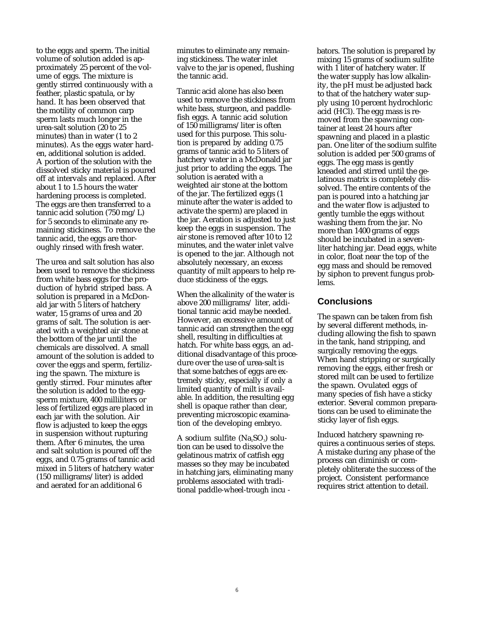to the eggs and sperm. The initial volume of solution added is approximately 25 percent of the volume of eggs. The mixture is gently stirred continuously with a feather, plastic spatula, or by hand. It has been observed that the motility of common carp sperm lasts much longer in the urea-salt solution (20 to 25 minutes) than in water (1 to 2 minutes). As the eggs water harden, additional solution is added. A portion of the solution with the dissolved sticky material is poured off at intervals and replaced. After about 1 to 1.5 hours the water hardening process is completed. The eggs are then transferred to a tannic acid solution (750 mg/L) for 5 seconds to eliminate any remaining stickiness. To remove the tannic acid, the eggs are thoroughly rinsed with fresh water.

The urea and salt solution has also been used to remove the stickiness from white bass eggs for the production of hybrid striped bass. A solution is prepared in a McDonald jar with 5 liters of hatchery water, 15 grams of urea and 20 grams of salt. The solution is aerated with a weighted air stone at the bottom of the jar until the chemicals are dissolved. A small amount of the solution is added to cover the eggs and sperm, fertilizing the spawn. The mixture is gently stirred. Four minutes after the solution is added to the eggsperm mixture, 400 milliliters or less of fertilized eggs are placed in each jar with the solution. Air flow is adjusted to keep the eggs in suspension without rupturing them. After 6 minutes, the urea and salt solution is poured off the eggs, and 0.75 grams of tannic acid mixed in 5 liters of hatchery water (150 milligrams/liter) is added and aerated for an additional 6

minutes to eliminate any remaining stickiness. The water inlet valve to the jar is opened, flushing the tannic acid.

Tannic acid alone has also been used to remove the stickiness from white bass, sturgeon, and paddlefish eggs. A tannic acid solution of 150 milligrams/liter is often used for this purpose. This solution is prepared by adding 0.75 grams of tannic acid to 5 liters of hatchery water in a McDonald jar just prior to adding the eggs. The solution is aerated with a weighted air stone at the bottom of the jar. The fertilized eggs (1 minute after the water is added to activate the sperm) are placed in the jar. Aeration is adjusted to just keep the eggs in suspension. The air stone is removed after 10 to 12 minutes, and the water inlet valve is opened to the jar. Although not absolutely necessary, an excess quantity of milt appears to help reduce stickiness of the eggs.

When the alkalinity of the water is above 200 milligrams/ liter, additional tannic acid maybe needed. However, an excessive amount of tannic acid can strengthen the egg shell, resulting in difficulties at hatch. For white bass eggs, an additional disadvantage of this procedure over the use of urea-salt is that some batches of eggs are extremely sticky, especially if only a limited quantity of milt is available. In addition, the resulting egg shell is opaque rather than clear, preventing microscopic examination of the developing embryo.

 $A$  sodium sulfite  $(Na_{2}SO_{3})$  solution can be used to dissolve the gelatinous matrix of catfish egg masses so they may be incubated in hatching jars, eliminating many problems associated with traditional paddle-wheel-trough incu -

bators. The solution is prepared by mixing 15 grams of sodium sulfite with 1 liter of hatchery water. If the water supply has low alkalinity, the pH must be adjusted back to that of the hatchery water supply using 10 percent hydrochloric acid (HCl). The egg mass is removed from the spawning container at least 24 hours after spawning and placed in a plastic pan. One liter of the sodium sulfite solution is added per 500 grams of eggs. The egg mass is gently kneaded and stirred until the gelatinous matrix is completely dissolved. The entire contents of the pan is poured into a hatching jar and the water flow is adjusted to gently tumble the eggs without washing them from the jar. No more than 1400 grams of eggs should be incubated in a sevenliter hatching jar. Dead eggs, white in color, float near the top of the egg mass and should be removed by siphon to prevent fungus problems.

#### **Conclusions**

The spawn can be taken from fish by several different methods, including allowing the fish to spawn in the tank, hand stripping, and surgically removing the eggs. When hand stripping or surgically removing the eggs, either fresh or stored milt can be used to fertilize the spawn. Ovulated eggs of many species of fish have a sticky exterior. Several common preparations can be used to eliminate the sticky layer of fish eggs.

Induced hatchery spawning requires a continuous series of steps. A mistake during any phase of the process can diminish or completely obliterate the success of the project. Consistent performance requires strict attention to detail.